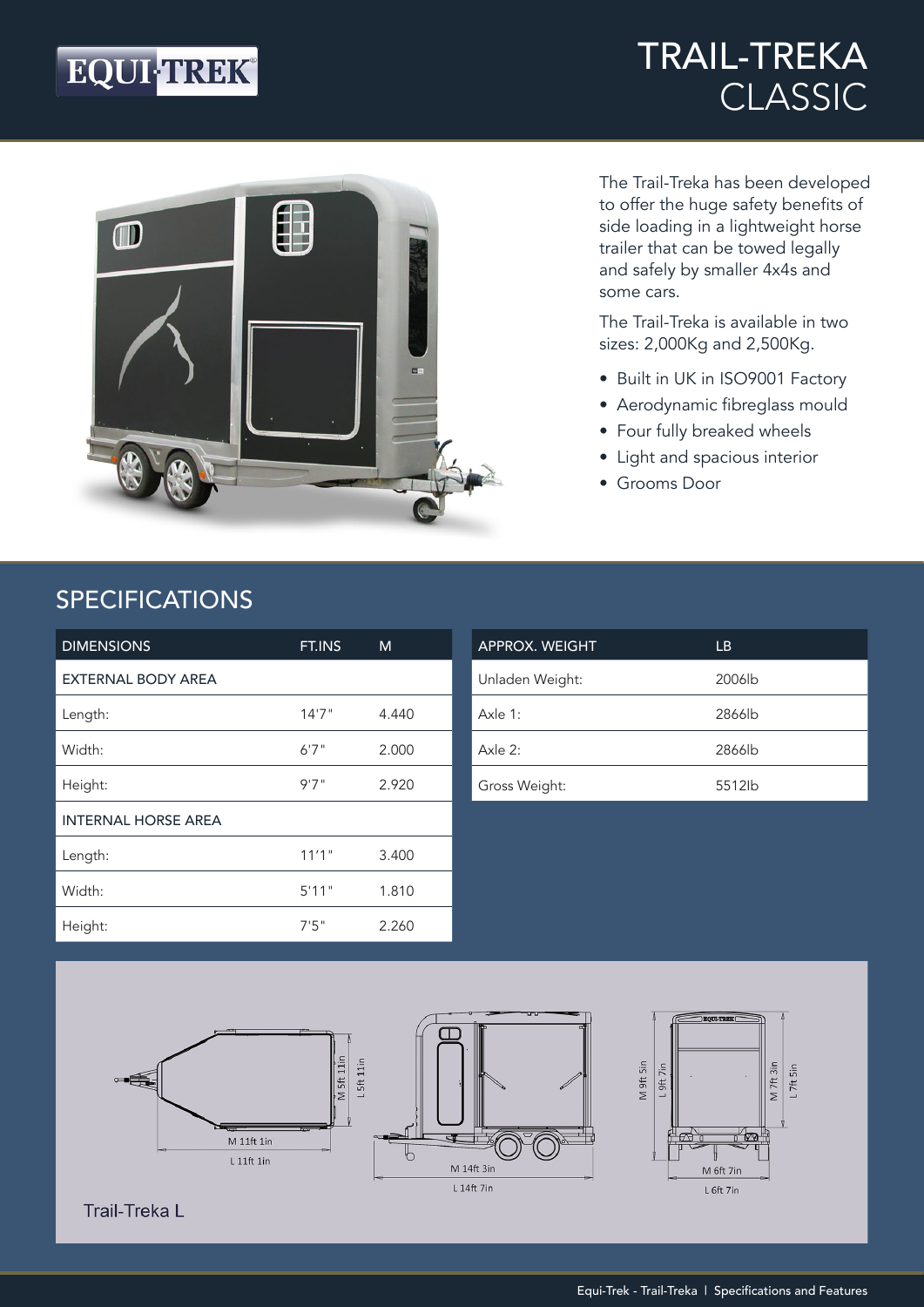## EQUI-TREK®

### TRAIL-TREKA CLASSIC



The Trail-Treka has been developed to offer the huge safety benefits of side loading in a lightweight horse trailer that can be towed legally and safely by smaller 4x4s and some cars.

The Trail-Treka is available in two sizes: 2,000Kg and 2,500Kg.

- Built in UK in ISO9001 Factory
- Aerodynamic fibreglass mould
- Four fully breaked wheels
- Light and spacious interior
- Grooms Door

#### SPECIFICATIONS

| <b>DIMENSIONS</b>          | FT.INS | M     |
|----------------------------|--------|-------|
| <b>EXTERNAL BODY AREA</b>  |        |       |
| Length:                    | 14'7'' | 4.440 |
| Width:                     | 6'7''  | 2.000 |
| Height:                    | 9'7''  | 2.920 |
| <b>INTERNAL HORSE AREA</b> |        |       |
| Length:                    | 11'1"  | 3.400 |
| Width:                     | 5'11"  | 1.810 |
| Height:                    | 7'5''  | 2.260 |

| <b>APPROX. WEIGHT</b> | LB                 |
|-----------------------|--------------------|
| Unladen Weight:       | 2006 <sub>lb</sub> |
| Axle $1:$             | 2866lb             |
| Axle $2:$             | 2866lb             |
| Gross Weight:         | 5512lb             |



**Trail-Treka L**